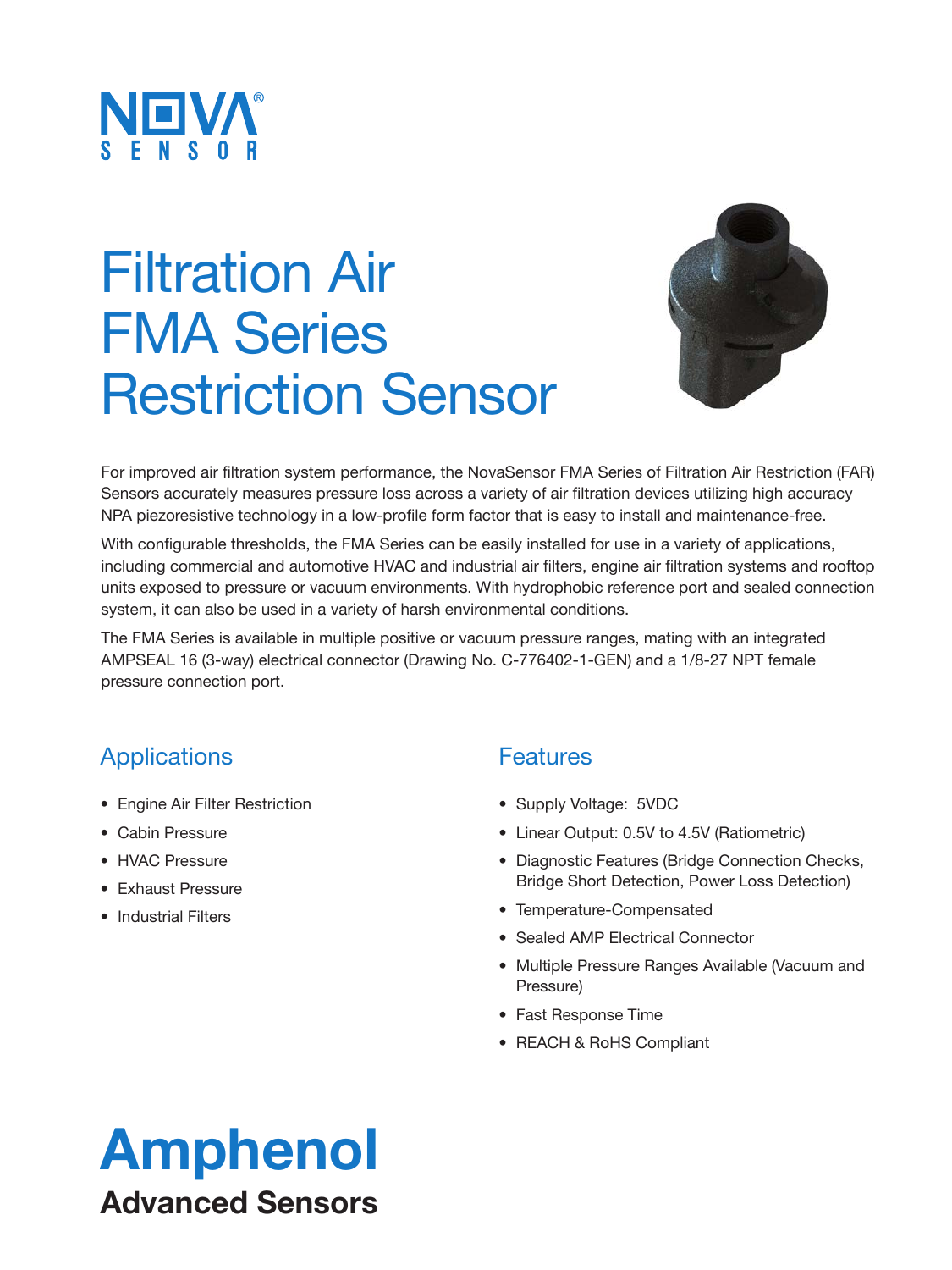

# Filtration Air FMA Series Restriction Sensor



For improved air filtration system performance, the NovaSensor FMA Series of Filtration Air Restriction (FAR) Sensors accurately measures pressure loss across a variety of air filtration devices utilizing high accuracy NPA piezoresistive technology in a low-profile form factor that is easy to install and maintenance-free.

With configurable thresholds, the FMA Series can be easily installed for use in a variety of applications, including commercial and automotive HVAC and industrial air filters, engine air filtration systems and rooftop units exposed to pressure or vacuum environments. With hydrophobic reference port and sealed connection system, it can also be used in a variety of harsh environmental conditions.

The FMA Series is available in multiple positive or vacuum pressure ranges, mating with an integrated AMPSEAL 16 (3-way) electrical connector (Drawing No. C-776402-1-GEN) and a 1/8-27 NPT female pressure connection port.

#### Applications

- Engine Air Filter Restriction
- Cabin Pressure
- HVAC Pressure
- Exhaust Pressure
- Industrial Filters

#### **Features**

- Supply Voltage: 5VDC
- Linear Output: 0.5V to 4.5V (Ratiometric)
- Diagnostic Features (Bridge Connection Checks, Bridge Short Detection, Power Loss Detection)
- Temperature-Compensated
- Sealed AMP Electrical Connector
- Multiple Pressure Ranges Available (Vacuum and Pressure)
- Fast Response Time
- REACH & RoHS Compliant

## Amphenol Advanced Sensors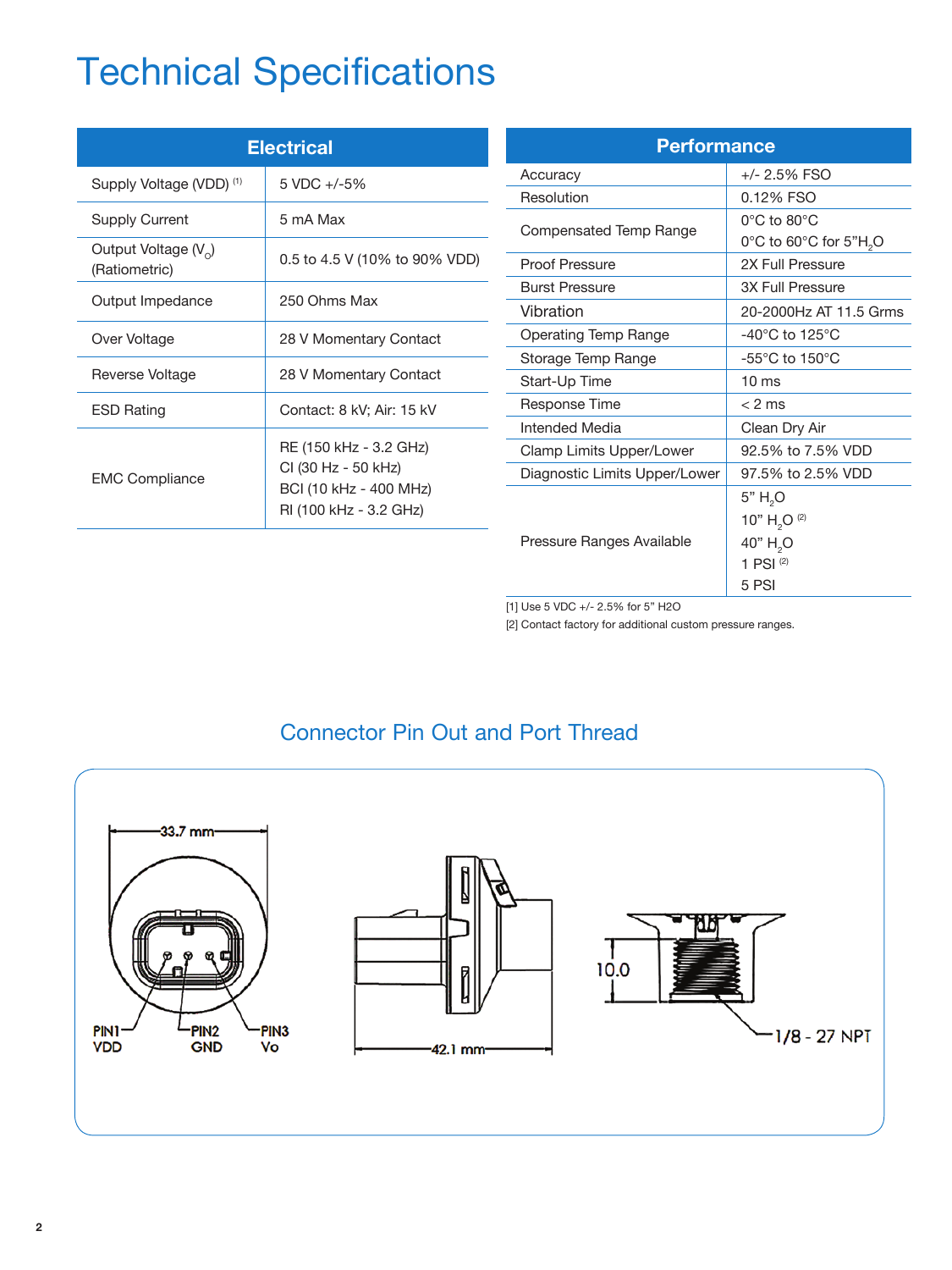### Technical Specifications

| <b>Electrical</b>                                 |                                                                                                   |  |  |
|---------------------------------------------------|---------------------------------------------------------------------------------------------------|--|--|
| Supply Voltage (VDD) <sup>(1)</sup>               | $5 \text{ VDC} + (-5\%$                                                                           |  |  |
| Supply Current                                    | 5 mA Max                                                                                          |  |  |
| Output Voltage (V <sub>o</sub> )<br>(Ratiometric) | 0.5 to 4.5 V (10% to 90% VDD)                                                                     |  |  |
| Output Impedance                                  | 250 Ohms Max                                                                                      |  |  |
| Over Voltage                                      | 28 V Momentary Contact                                                                            |  |  |
| Reverse Voltage                                   | 28 V Momentary Contact                                                                            |  |  |
| <b>ESD Rating</b>                                 | Contact: 8 kV; Air: 15 kV                                                                         |  |  |
| <b>EMC Compliance</b>                             | RE (150 kHz - 3.2 GHz)<br>CI (30 Hz - 50 kHz)<br>BCI (10 kHz - 400 MHz)<br>RI (100 kHz - 3.2 GHz) |  |  |

| <b>Performance</b>            |                                     |  |  |
|-------------------------------|-------------------------------------|--|--|
| Accuracy                      | +/- 2.5% FSO                        |  |  |
| Resolution                    | 0.12% FSO                           |  |  |
|                               | $0^{\circ}$ C to 80 $^{\circ}$ C    |  |  |
| Compensated Temp Range        | 0°C to 60°C for 5"H <sub>2</sub> O  |  |  |
| <b>Proof Pressure</b>         | 2X Full Pressure                    |  |  |
| <b>Burst Pressure</b>         | <b>3X Full Pressure</b>             |  |  |
| Vibration                     | 20-2000Hz AT 11.5 Grms              |  |  |
| <b>Operating Temp Range</b>   | $-40^{\circ}$ C to 125 $^{\circ}$ C |  |  |
| Storage Temp Range            | $-55^{\circ}$ C to 150 $^{\circ}$ C |  |  |
| Start-Up Time                 | 10 <sub>ms</sub>                    |  |  |
| Response Time                 | $< 2$ ms                            |  |  |
| Intended Media                | Clean Dry Air                       |  |  |
| Clamp Limits Upper/Lower      | 92.5% to 7.5% VDD                   |  |  |
| Diagnostic Limits Upper/Lower | 97.5% to 2.5% VDD                   |  |  |
|                               | 5" H <sub>2</sub> O                 |  |  |
|                               | 10" $H_2O^{(2)}$                    |  |  |
| Pressure Ranges Available     | 40" H <sub>2</sub> O                |  |  |
|                               | 1 PSI $(2)$                         |  |  |
|                               | 5 PSI                               |  |  |

[1] Use 5 VDC +/- 2.5% for 5" H2O

[2] Contact factory for additional custom pressure ranges.



#### Connector Pin Out and Port Thread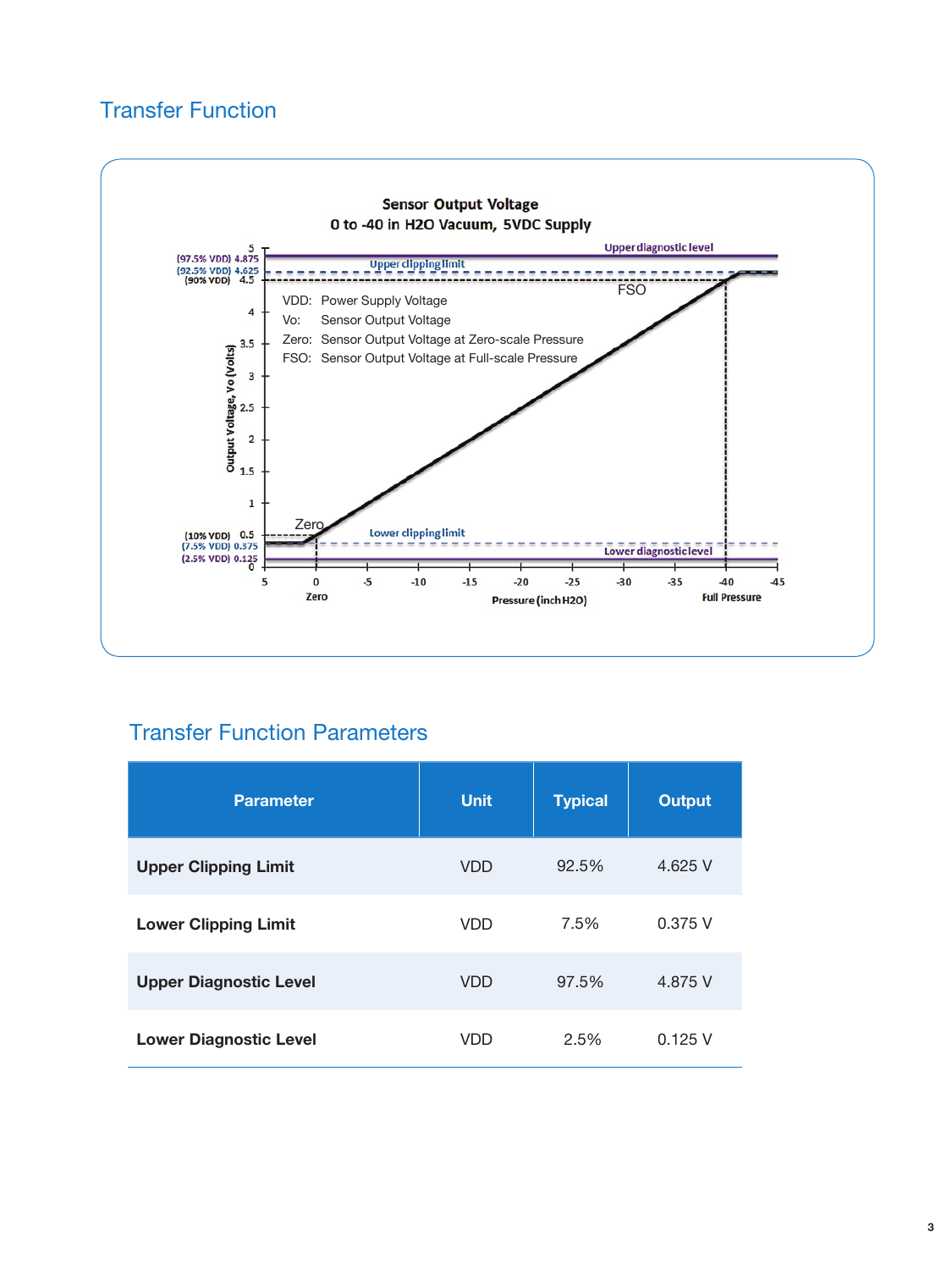#### Transfer Function



#### Transfer Function Parameters

| <b>Parameter</b>              | <b>Unit</b> | <b>Typical</b> | <b>Output</b> |
|-------------------------------|-------------|----------------|---------------|
| <b>Upper Clipping Limit</b>   | <b>VDD</b>  | 92.5%          | 4.625 V       |
| <b>Lower Clipping Limit</b>   | <b>VDD</b>  | 7.5%           | 0.375V        |
| <b>Upper Diagnostic Level</b> | <b>VDD</b>  | 97.5%          | 4.875 V       |
| <b>Lower Diagnostic Level</b> | <b>VDD</b>  | 2.5%           | 0.125V        |